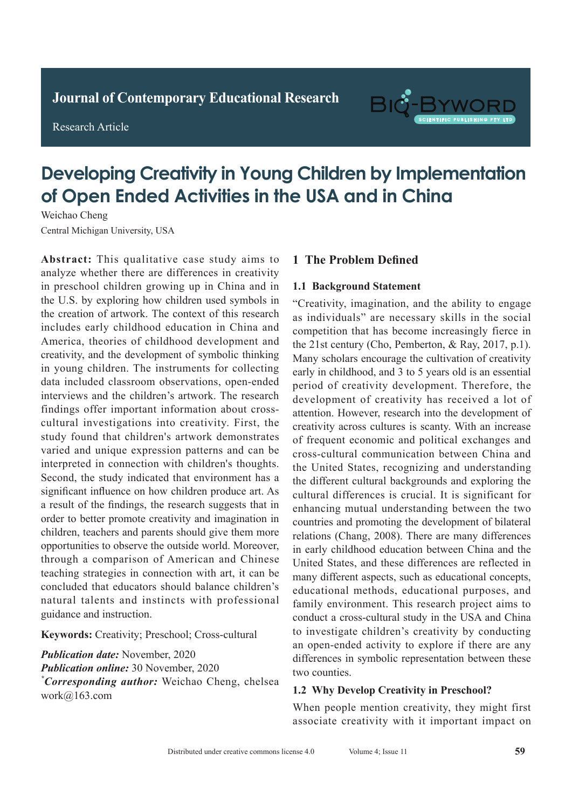**Research Article** 

Research Article



# **Developing Creativity in Young Children by Implementation** of Open Ended Activities in the USA and in China

Weichao Cheng Central Michigan University, USA Weichao Cheng

Abstract: This qualitative case study aims to analyze whether there are differences in creativity in preschool children growing up in China and in the U.S. by exploring how children used symbols in the creation of artwork. The context of this research includes early childhood education in China and America, theories of childhood development and creativity, and the development of symbolic thinking in young children. The instruments for collecting data included classroom observations, open-ended interviews and the children's artwork. The research findings offer important information about crosscultural investigations into creativity. First, the study found that children's artwork demonstrates varied and unique expression patterns and can be interpreted in connection with children's thoughts. Second, the study indicated that environment has a significant influence on how children produce art. As a result of the findings, the research suggests that in order to better promote creativity and imagination in  $\frac{1}{2}$ children, teachers and parents should give them more opportunities to observe the outside world. Moreover,  $\frac{P}{P}$ <sup>2</sup>. The difference was statistically significant (*P*<sub>0.05</sub>). *Phonos a comparison of American and Chinese CONCLUS* COMPRESSOR OF CHEST COMPRESSOR CHEST CONNECTED SERVICES **Concluded that educators should balance children's** concreted that celebrates should chance emitted by nuturat turento and instituto with proressionary guidance and instruction.

Keywords: Creativity; Preschool; Cross-cultural adjudius, citativity, i resentori, cita

**Publication date:** November, 2020 *Publication date:* November, 2020<br>*Publication online:* 30 November, 2020 *\*Corresponding author:* Weichao Cheng, chelsea *work@163.com*  $\frac{1}{2}$ *Publication date:* May, 2020

# **1 The Problem Defined**

#### **1.1 Background Statement** Pulmonary tuberculosis is a serious respiratory disease 1.1 Dackground statement

"Creativity, imagination, and the ability to engage as individuals" are necessary skills in the social as individually are necessary since in the security competition that has become increasingly fierce in the 21st century (Cho, Pemberton,  $\&$  Ray, 2017, p.1). me 21st canary (enc., removies,  $\alpha$  ray, 2017, p.1).<br>Many scholars encourage the cultivation of creativity whany scholars encourage the currivation of creativity early in childhood, and 3 to 5 years old is an essential  $\frac{\text{early in emaloot}}{\text{period of creativity development}}$ . Therefore, the period of creativity development. Therefore, the<br>development of creativity has received a lot of attention. However, research into the development of attention. attention. However, research mio the development of creativity across cultures is scanty. With an increase of frequent economic and political exchanges and of frequent economic and political exchanges and  $\frac{1}{2}$  is the gold standard  $\frac{1}{2}$  is the gold standard formula standard for  $\frac{1}{2}$  is the gold standard for  $\frac{1}{2}$  is the gold standard for  $\frac{1}{2}$  is the gold standard for  $\frac{1}{2}$  is the gold standard fo  $t_{\text{t}}$  diagnosis of tuberculous of the diagnosis of the diagnosis of the diagnosis of the diagnosis of the diagnosis of the diagnosis of the diagnosis of the diagnosis of the diagnosis of the diagnosis of the diagnosis the United States, recognizing and understanding the different cultural backgrounds and exploring the the different cultural backgrounds and exploring the cultural differences is crucial. It is significant for enhancing mutual understanding between the two widespread promotion. Suitable for wides countries and promoting the development of bilateral relations (Chang, 2008). There are many differences in early childhood education between China and the United States, and these differences are reflected in many different aspects, such as educational concepts, educational methods, educational purposes, and conduct a cross-cultural study in the USA and China **1.1 leads 1.1 International information** and **methods 1.1 International methods 1.1 International methods** differences in symbolic representation between these  $\mu$  wo counties. cross-cultural communication between China and family environment. This research project aims to to investigate children's creativity by conducting two counties. "Creativity, imagination, and the ability to engage as individuals" are necessary skills in the social competition that has become increasingly fierce in the 21st century (Cho, Pemberton, & Ray, 2017, p.1).

#### 1.2 Why Develop Creativity in Preschool? 1.2 why bevelop creativity in Freschool.

When people mention creativity, they might first associate creativity with it important impact on  $\mathcal{L}$  and  $\mathcal{L}$  is the  $\mathcal{L}$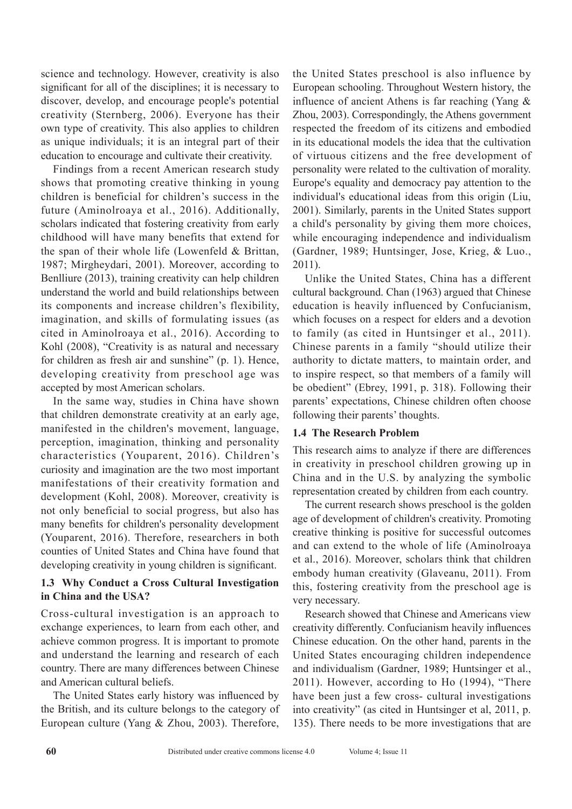science and technology. However, creativity is also significant for all of the disciplines; it is necessary to discover, develop, and encourage people's potential creativity (Sternberg, 2006). Everyone has their own type of creativity. This also applies to children as unique individuals; it is an integral part of their education to encourage and cultivate their creativity.

Findings from a recent American research study shows that promoting creative thinking in young children is beneficial for children's success in the future (Aminolroaya et al., 2016). Additionally, scholars indicated that fostering creativity from early childhood will have many benefits that extend for the span of their whole life (Lowenfeld & Brittan, 1987; Mirgheydari, 2001). Moreover, according to Benlliure (2013), training creativity can help children understand the world and build relationships between its components and increase children's flexibility, imagination, and skills of formulating issues (as cited in Aminolroaya et al., 2016). According to Kohl (2008), "Creativity is as natural and necessary for children as fresh air and sunshine" (p. 1). Hence, developing creativity from preschool age was accepted by most American scholars.

In the same way, studies in China have shown that children demonstrate creativity at an early age, manifested in the children's movement, language, perception, imagination, thinking and personality characteristics (Youparent, 2016). Children's curiosity and imagination are the two most important manifestations of their creativity formation and development (Kohl, 2008). Moreover, creativity is not only beneficial to social progress, but also has many benefits for children's personality development (Youparent, 2016). Therefore, researchers in both counties of United States and China have found that developing creativity in young children is significant.

# **1.3 Why Conduct a Cross Cultural Investigation in China and the USA?**

Cross-cultural investigation is an approach to exchange experiences, to learn from each other, and achieve common progress. It is important to promote and understand the learning and research of each country. There are many differences between Chinese and American cultural beliefs.

The United States early history was influenced by the British, and its culture belongs to the category of European culture (Yang & Zhou, 2003). Therefore, the United States preschool is also influence by European schooling. Throughout Western history, the influence of ancient Athens is far reaching (Yang & Zhou, 2003). Correspondingly, the Athens government respected the freedom of its citizens and embodied in its educational models the idea that the cultivation of virtuous citizens and the free development of personality were related to the cultivation of morality. Europe's equality and democracy pay attention to the individual's educational ideas from this origin (Liu, 2001). Similarly, parents in the United States support a child's personality by giving them more choices, while encouraging independence and individualism (Gardner, 1989; Huntsinger, Jose, Krieg, & Luo., 2011).

Unlike the United States, China has a different cultural background. Chan (1963) argued that Chinese education is heavily influenced by Confucianism, which focuses on a respect for elders and a devotion to family (as cited in Huntsinger et al., 2011). Chinese parents in a family "should utilize their authority to dictate matters, to maintain order, and to inspire respect, so that members of a family will be obedient" (Ebrey, 1991, p. 318). Following their parents' expectations, Chinese children often choose following their parents' thoughts.

# **1.4 The Research Problem**

This research aims to analyze if there are differences in creativity in preschool children growing up in China and in the U.S. by analyzing the symbolic representation created by children from each country.

The current research shows preschool is the golden age of development of children's creativity. Promoting creative thinking is positive for successful outcomes and can extend to the whole of life (Aminolroaya et al., 2016). Moreover, scholars think that children embody human creativity (Glaveanu, 2011). From this, fostering creativity from the preschool age is very necessary.

Research showed that Chinese and Americans view creativity differently. Confucianism heavily influences Chinese education. On the other hand, parents in the United States encouraging children independence and individualism (Gardner, 1989; Huntsinger et al., 2011). However, according to Ho (1994), "There have been just a few cross- cultural investigations into creativity" (as cited in Huntsinger et al, 2011, p. 135). There needs to be more investigations that are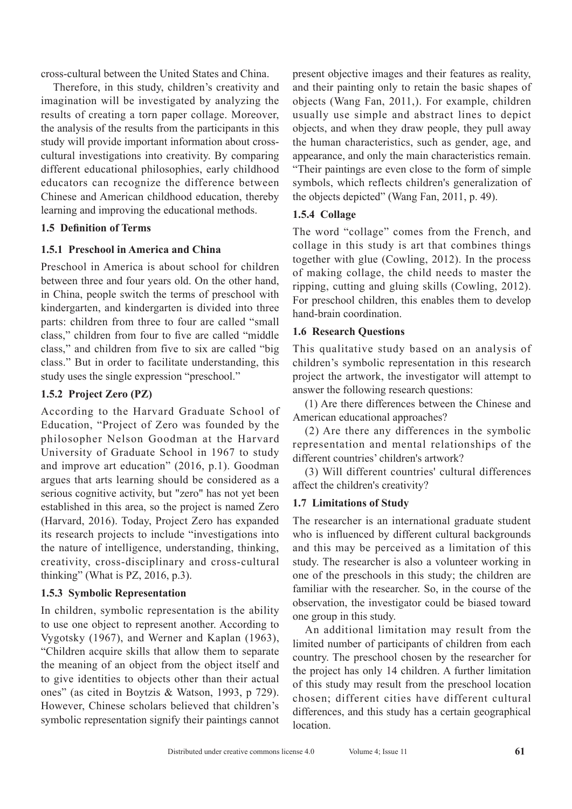cross-cultural between the United States and China.

Therefore, in this study, children's creativity and imagination will be investigated by analyzing the results of creating a torn paper collage. Moreover, the analysis of the results from the participants in this study will provide important information about crosscultural investigations into creativity. By comparing different educational philosophies, early childhood educators can recognize the difference between Chinese and American childhood education, thereby learning and improving the educational methods.

### **1.5 Definition of Terms**

# **1.5.1 Preschool in America and China**

Preschool in America is about school for children between three and four years old. On the other hand, in China, people switch the terms of preschool with kindergarten, and kindergarten is divided into three parts: children from three to four are called "small class," children from four to five are called "middle class," and children from five to six are called "big class." But in order to facilitate understanding, this study uses the single expression "preschool."

# **1.5.2 Project Zero (PZ)**

According to the Harvard Graduate School of Education, "Project of Zero was founded by the philosopher Nelson Goodman at the Harvard University of Graduate School in 1967 to study and improve art education" (2016, p.1). Goodman argues that arts learning should be considered as a serious cognitive activity, but "zero" has not yet been established in this area, so the project is named Zero (Harvard, 2016). Today, Project Zero has expanded its research projects to include "investigations into the nature of intelligence, understanding, thinking, creativity, cross-disciplinary and cross-cultural thinking" (What is PZ, 2016, p.3).

# **1.5.3 Symbolic Representation**

In children, symbolic representation is the ability to use one object to represent another. According to Vygotsky (1967), and Werner and Kaplan (1963), "Children acquire skills that allow them to separate the meaning of an object from the object itself and to give identities to objects other than their actual ones" (as cited in Boytzis & Watson, 1993, p 729). However, Chinese scholars believed that children's symbolic representation signify their paintings cannot present objective images and their features as reality, and their painting only to retain the basic shapes of objects (Wang Fan, 2011,). For example, children usually use simple and abstract lines to depict objects, and when they draw people, they pull away the human characteristics, such as gender, age, and appearance, and only the main characteristics remain. "Their paintings are even close to the form of simple symbols, which reflects children's generalization of the objects depicted" (Wang Fan, 2011, p. 49).

# **1.5.4 Collage**

The word "collage" comes from the French, and collage in this study is art that combines things together with glue (Cowling, 2012). In the process of making collage, the child needs to master the ripping, cutting and gluing skills (Cowling, 2012). For preschool children, this enables them to develop hand-brain coordination.

# **1.6 Research Questions**

This qualitative study based on an analysis of children's symbolic representation in this research project the artwork, the investigator will attempt to answer the following research questions:

(1) Are there differences between the Chinese and American educational approaches?

(2) Are there any differences in the symbolic representation and mental relationships of the different countries' children's artwork?

(3) Will different countries' cultural differences affect the children's creativity?

# **1.7 Limitations of Study**

The researcher is an international graduate student who is influenced by different cultural backgrounds and this may be perceived as a limitation of this study. The researcher is also a volunteer working in one of the preschools in this study; the children are familiar with the researcher. So, in the course of the observation, the investigator could be biased toward one group in this study.

An additional limitation may result from the limited number of participants of children from each country. The preschool chosen by the researcher for the project has only 14 children. A further limitation of this study may result from the preschool location chosen; different cities have different cultural differences, and this study has a certain geographical location.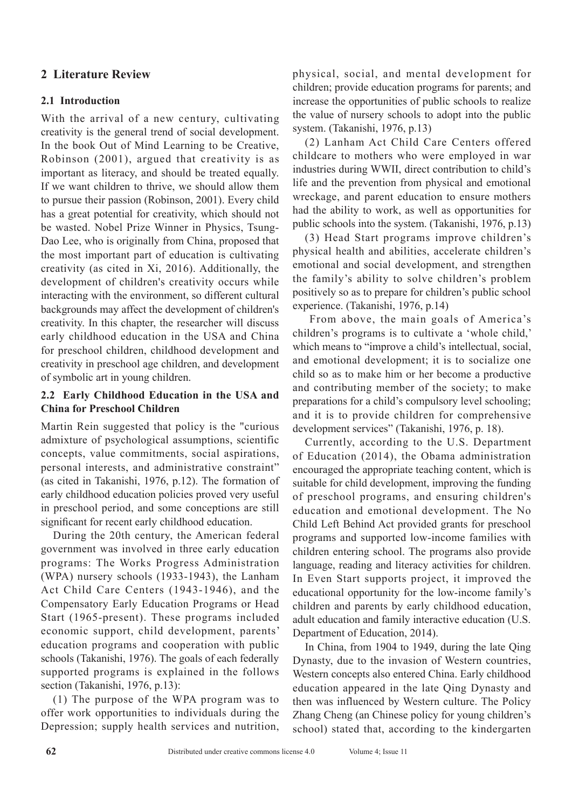# **2 Literature Review**

# **2.1 Introduction**

With the arrival of a new century, cultivating creativity is the general trend of social development. In the book Out of Mind Learning to be Creative, Robinson (2001), argued that creativity is as important as literacy, and should be treated equally. If we want children to thrive, we should allow them to pursue their passion (Robinson, 2001). Every child has a great potential for creativity, which should not be wasted. Nobel Prize Winner in Physics, Tsung-Dao Lee, who is originally from China, proposed that the most important part of education is cultivating creativity (as cited in Xi, 2016). Additionally, the development of children's creativity occurs while interacting with the environment, so different cultural backgrounds may affect the development of children's creativity. In this chapter, the researcher will discuss early childhood education in the USA and China for preschool children, childhood development and creativity in preschool age children, and development of symbolic art in young children.

# **2.2 Early Childhood Education in the USA and China for Preschool Children**

Martin Rein suggested that policy is the "curious admixture of psychological assumptions, scientific concepts, value commitments, social aspirations, personal interests, and administrative constraint" (as cited in Takanishi, 1976, p.12). The formation of early childhood education policies proved very useful in preschool period, and some conceptions are still significant for recent early childhood education.

During the 20th century, the American federal government was involved in three early education programs: The Works Progress Administration (WPA) nursery schools (1933-1943), the Lanham Act Child Care Centers (1943-1946), and the Compensatory Early Education Programs or Head Start (1965-present). These programs included economic support, child development, parents' education programs and cooperation with public schools (Takanishi, 1976). The goals of each federally supported programs is explained in the follows section (Takanishi, 1976, p.13):

(1) The purpose of the WPA program was to offer work opportunities to individuals during the Depression; supply health services and nutrition, physical, social, and mental development for children; provide education programs for parents; and increase the opportunities of public schools to realize the value of nursery schools to adopt into the public system. (Takanishi, 1976, p.13)

(2) Lanham Act Child Care Centers offered childcare to mothers who were employed in war industries during WWII, direct contribution to child's life and the prevention from physical and emotional wreckage, and parent education to ensure mothers had the ability to work, as well as opportunities for public schools into the system. (Takanishi, 1976, p.13)

(3) Head Start programs improve children's physical health and abilities, accelerate children's emotional and social development, and strengthen the family's ability to solve children's problem positively so as to prepare for children's public school experience. (Takanishi, 1976, p.14)

 From above, the main goals of America's children's programs is to cultivate a 'whole child,' which means to "improve a child's intellectual, social, and emotional development; it is to socialize one child so as to make him or her become a productive and contributing member of the society; to make preparations for a child's compulsory level schooling; and it is to provide children for comprehensive development services" (Takanishi, 1976, p. 18).

Currently, according to the U.S. Department of Education (2014), the Obama administration encouraged the appropriate teaching content, which is suitable for child development, improving the funding of preschool programs, and ensuring children's education and emotional development. The No Child Left Behind Act provided grants for preschool programs and supported low-income families with children entering school. The programs also provide language, reading and literacy activities for children. In Even Start supports project, it improved the educational opportunity for the low-income family's children and parents by early childhood education, adult education and family interactive education (U.S. Department of Education, 2014).

In China, from 1904 to 1949, during the late Qing Dynasty, due to the invasion of Western countries, Western concepts also entered China. Early childhood education appeared in the late Qing Dynasty and then was influenced by Western culture. The Policy Zhang Cheng (an Chinese policy for young children's school) stated that, according to the kindergarten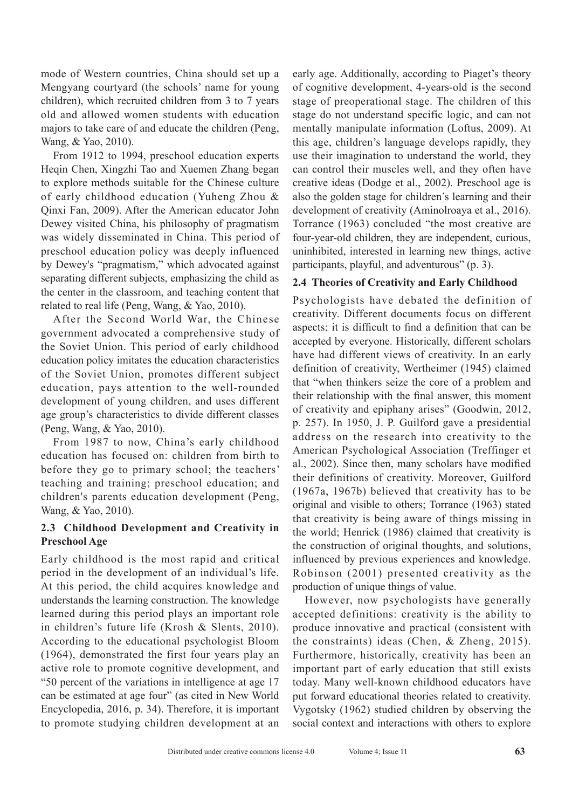mode of Western countries, China should set up a Mengyang courtyard (the schools' name for young children), which recruited children from 3 to 7 years old and allowed women students with education majors to take care of and educate the children (Peng, Wang, & Yao, 2010).

From 1912 to 1994, preschool education experts Heqin Chen, Xingzhi Tao and Xuemen Zhang began to explore methods suitable for the Chinese culture of early childhood education (Yuheng Zhou & Qinxi Fan, 2009). After the American educator John Dewey visited China, his philosophy of pragmatism was widely disseminated in China. This period of preschool education policy was deeply influenced by Dewey's "pragmatism," which advocated against separating different subjects, emphasizing the child as the center in the classroom, and teaching content that related to real life (Peng, Wang, & Yao, 2010).

After the Second World War, the Chinese government advocated a comprehensive study of the Soviet Union. This period of early childhood education policy imitates the education characteristics of the Soviet Union, promotes different subject education, pays attention to the well-rounded development of young children, and uses different age group's characteristics to divide different classes (Peng, Wang, & Yao, 2010).

From 1987 to now, China's early childhood education has focused on: children from birth to before they go to primary school; the teachers' teaching and training; preschool education; and children's parents education development (Peng, Wang, & Yao, 2010).

# **2.3 Childhood Development and Creativity in Preschool Age**

Early childhood is the most rapid and critical period in the development of an individual's life. At this period, the child acquires knowledge and understands the learning construction. The knowledge learned during this period plays an important role in children's future life (Krosh & Slents, 2010). According to the educational psychologist Bloom (1964), demonstrated the first four years play an active role to promote cognitive development, and "50 percent of the variations in intelligence at age 17 can be estimated at age four" (as cited in New World Encyclopedia, 2016, p. 34). Therefore, it is important to promote studying children development at an early age. Additionally, according to Piaget's theory of cognitive development, 4-years-old is the second stage of preoperational stage. The children of this stage do not understand specific logic, and can not mentally manipulate information (Loftus, 2009). At this age, children's language develops rapidly, they use their imagination to understand the world, they can control their muscles well, and they often have creative ideas (Dodge et al., 2002). Preschool age is also the golden stage for children's learning and their development of creativity (Aminolroaya et al., 2016). Torrance (1963) concluded "the most creative are four-year-old children, they are independent, curious, uninhibited, interested in learning new things, active participants, playful, and adventurous" (p. 3).

# **2.4 Theories of Creativity and Early Childhood**

Psychologists have debated the definition of creativity. Different documents focus on different aspects; it is difficult to find a definition that can be accepted by everyone. Historically, different scholars have had different views of creativity. In an early definition of creativity, Wertheimer (1945) claimed that "when thinkers seize the core of a problem and their relationship with the final answer, this moment of creativity and epiphany arises" (Goodwin, 2012, p. 257). In 1950, J. P. Guilford gave a presidential address on the research into creativity to the American Psychological Association (Treffinger et al., 2002). Since then, many scholars have modified their definitions of creativity. Moreover, Guilford (1967a, 1967b) believed that creativity has to be original and visible to others; Torrance (1963) stated that creativity is being aware of things missing in the world; Henrick (1986) claimed that creativity is the construction of original thoughts, and solutions, influenced by previous experiences and knowledge. Robinson (2001) presented creativity as the production of unique things of value.

However, now psychologists have generally accepted definitions: creativity is the ability to produce innovative and practical (consistent with the constraints) ideas (Chen, & Zheng, 2015). Furthermore, historically, creativity has been an important part of early education that still exists today. Many well-known childhood educators have put forward educational theories related to creativity. Vygotsky (1962) studied children by observing the social context and interactions with others to explore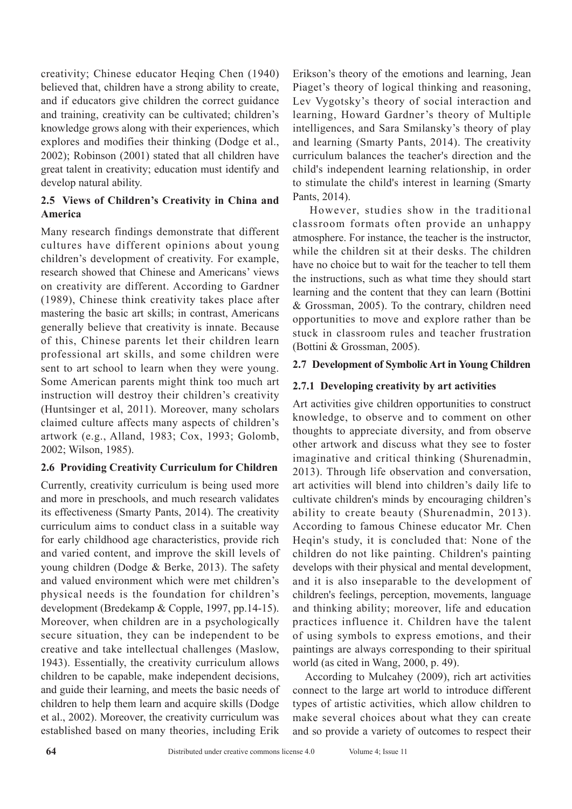creativity; Chinese educator Heqing Chen (1940) believed that, children have a strong ability to create, and if educators give children the correct guidance and training, creativity can be cultivated; children's knowledge grows along with their experiences, which explores and modifies their thinking (Dodge et al., 2002); Robinson (2001) stated that all children have great talent in creativity; education must identify and develop natural ability.

# **2.5 Views of Children's Creativity in China and America**

Many research findings demonstrate that different cultures have different opinions about young children's development of creativity. For example, research showed that Chinese and Americans' views on creativity are different. According to Gardner (1989), Chinese think creativity takes place after mastering the basic art skills; in contrast, Americans generally believe that creativity is innate. Because of this, Chinese parents let their children learn professional art skills, and some children were sent to art school to learn when they were young. Some American parents might think too much art instruction will destroy their children's creativity (Huntsinger et al, 2011). Moreover, many scholars claimed culture affects many aspects of children's artwork (e.g., Alland, 1983; Cox, 1993; Golomb, 2002; Wilson, 1985).

### **2.6 Providing Creativity Curriculum for Children**

Currently, creativity curriculum is being used more and more in preschools, and much research validates its effectiveness (Smarty Pants, 2014). The creativity curriculum aims to conduct class in a suitable way for early childhood age characteristics, provide rich and varied content, and improve the skill levels of young children (Dodge & Berke, 2013). The safety and valued environment which were met children's physical needs is the foundation for children's development (Bredekamp & Copple, 1997, pp.14-15). Moreover, when children are in a psychologically secure situation, they can be independent to be creative and take intellectual challenges (Maslow, 1943). Essentially, the creativity curriculum allows children to be capable, make independent decisions, and guide their learning, and meets the basic needs of children to help them learn and acquire skills (Dodge et al., 2002). Moreover, the creativity curriculum was established based on many theories, including Erik

Erikson's theory of the emotions and learning, Jean Piaget's theory of logical thinking and reasoning, Lev Vygotsky's theory of social interaction and learning, Howard Gardner's theory of Multiple intelligences, and Sara Smilansky's theory of play and learning (Smarty Pants, 2014). The creativity curriculum balances the teacher's direction and the child's independent learning relationship, in order to stimulate the child's interest in learning (Smarty Pants, 2014).

 However, studies show in the traditional classroom formats often provide an unhappy atmosphere. For instance, the teacher is the instructor, while the children sit at their desks. The children have no choice but to wait for the teacher to tell them the instructions, such as what time they should start learning and the content that they can learn (Bottini & Grossman, 2005). To the contrary, children need opportunities to move and explore rather than be stuck in classroom rules and teacher frustration (Bottini & Grossman, 2005).

### **2.7 Development of Symbolic Art in Young Children**

# **2.7.1 Developing creativity by art activities**

Art activities give children opportunities to construct knowledge, to observe and to comment on other thoughts to appreciate diversity, and from observe other artwork and discuss what they see to foster imaginative and critical thinking (Shurenadmin, 2013). Through life observation and conversation, art activities will blend into children's daily life to cultivate children's minds by encouraging children's ability to create beauty (Shurenadmin, 2013). According to famous Chinese educator Mr. Chen Heqin's study, it is concluded that: None of the children do not like painting. Children's painting develops with their physical and mental development, and it is also inseparable to the development of children's feelings, perception, movements, language and thinking ability; moreover, life and education practices influence it. Children have the talent of using symbols to express emotions, and their paintings are always corresponding to their spiritual world (as cited in Wang, 2000, p. 49).

According to Mulcahey (2009), rich art activities connect to the large art world to introduce different types of artistic activities, which allow children to make several choices about what they can create and so provide a variety of outcomes to respect their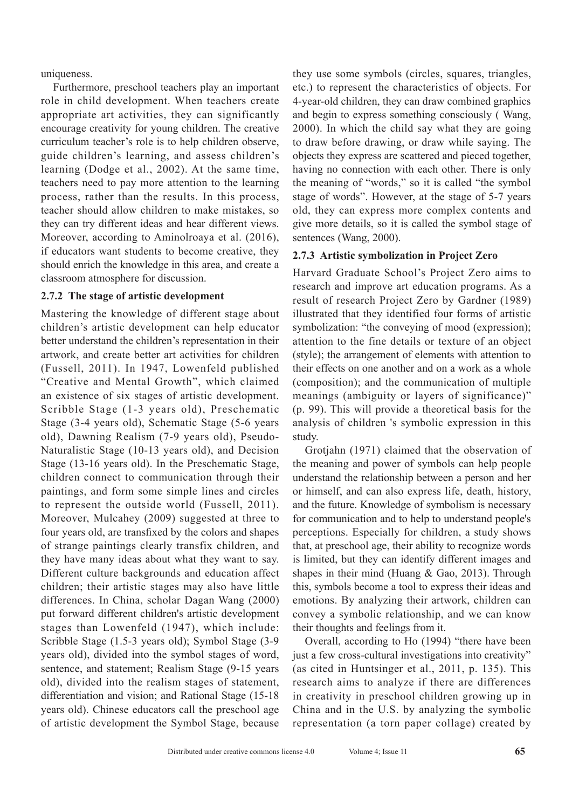uniqueness.

Furthermore, preschool teachers play an important role in child development. When teachers create appropriate art activities, they can significantly encourage creativity for young children. The creative curriculum teacher's role is to help children observe, guide children's learning, and assess children's learning (Dodge et al., 2002). At the same time, teachers need to pay more attention to the learning process, rather than the results. In this process, teacher should allow children to make mistakes, so they can try different ideas and hear different views. Moreover, according to Aminolroaya et al. (2016), if educators want students to become creative, they should enrich the knowledge in this area, and create a classroom atmosphere for discussion.

#### **2.7.2 The stage of artistic development**

Mastering the knowledge of different stage about children's artistic development can help educator better understand the children's representation in their artwork, and create better art activities for children (Fussell, 2011). In 1947, Lowenfeld published "Creative and Mental Growth", which claimed an existence of six stages of artistic development. Scribble Stage (1-3 years old), Preschematic Stage (3-4 years old), Schematic Stage (5-6 years old), Dawning Realism (7-9 years old), Pseudo-Naturalistic Stage (10-13 years old), and Decision Stage (13-16 years old). In the Preschematic Stage, children connect to communication through their paintings, and form some simple lines and circles to represent the outside world (Fussell, 2011). Moreover, Mulcahey (2009) suggested at three to four years old, are transfixed by the colors and shapes of strange paintings clearly transfix children, and they have many ideas about what they want to say. Different culture backgrounds and education affect children; their artistic stages may also have little differences. In China, scholar Dagan Wang (2000) put forward different children's artistic development stages than Lowenfeld (1947), which include: Scribble Stage (1.5-3 years old); Symbol Stage (3-9 years old), divided into the symbol stages of word, sentence, and statement; Realism Stage (9-15 years old), divided into the realism stages of statement, differentiation and vision; and Rational Stage (15-18 years old). Chinese educators call the preschool age of artistic development the Symbol Stage, because they use some symbols (circles, squares, triangles, etc.) to represent the characteristics of objects. For 4-year-old children, they can draw combined graphics and begin to express something consciously ( Wang, 2000). In which the child say what they are going to draw before drawing, or draw while saying. The objects they express are scattered and pieced together, having no connection with each other. There is only the meaning of "words," so it is called "the symbol stage of words". However, at the stage of 5-7 years old, they can express more complex contents and give more details, so it is called the symbol stage of sentences (Wang, 2000).

### **2.7.3 Artistic symbolization in Project Zero**

Harvard Graduate School's Project Zero aims to research and improve art education programs. As a result of research Project Zero by Gardner (1989) illustrated that they identified four forms of artistic symbolization: "the conveying of mood (expression); attention to the fine details or texture of an object (style); the arrangement of elements with attention to their effects on one another and on a work as a whole (composition); and the communication of multiple meanings (ambiguity or layers of significance)" (p. 99). This will provide a theoretical basis for the analysis of children 's symbolic expression in this study.

Grotjahn (1971) claimed that the observation of the meaning and power of symbols can help people understand the relationship between a person and her or himself, and can also express life, death, history, and the future. Knowledge of symbolism is necessary for communication and to help to understand people's perceptions. Especially for children, a study shows that, at preschool age, their ability to recognize words is limited, but they can identify different images and shapes in their mind (Huang  $& Gao, 2013$ ). Through this, symbols become a tool to express their ideas and emotions. By analyzing their artwork, children can convey a symbolic relationship, and we can know their thoughts and feelings from it.

Overall, according to Ho (1994) "there have been just a few cross-cultural investigations into creativity" (as cited in Huntsinger et al., 2011, p. 135). This research aims to analyze if there are differences in creativity in preschool children growing up in China and in the U.S. by analyzing the symbolic representation (a torn paper collage) created by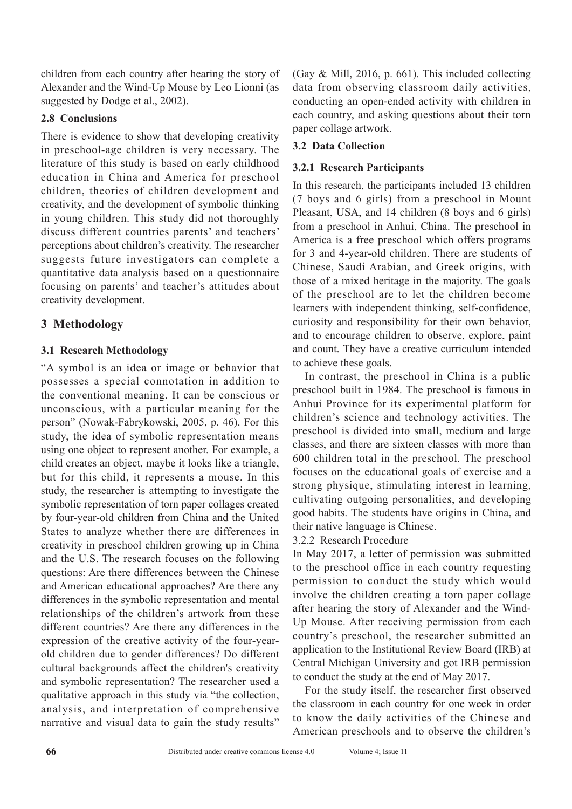children from each country after hearing the story of Alexander and the Wind-Up Mouse by Leo Lionni (as suggested by Dodge et al., 2002).

# **2.8 Conclusions**

There is evidence to show that developing creativity in preschool-age children is very necessary. The literature of this study is based on early childhood education in China and America for preschool children, theories of children development and creativity, and the development of symbolic thinking in young children. This study did not thoroughly discuss different countries parents' and teachers' perceptions about children's creativity. The researcher suggests future investigators can complete a quantitative data analysis based on a questionnaire focusing on parents' and teacher's attitudes about creativity development.

# **3 Methodology**

# **3.1 Research Methodology**

"A symbol is an idea or image or behavior that possesses a special connotation in addition to the conventional meaning. It can be conscious or unconscious, with a particular meaning for the person" (Nowak-Fabrykowski, 2005, p. 46). For this study, the idea of symbolic representation means using one object to represent another. For example, a child creates an object, maybe it looks like a triangle, but for this child, it represents a mouse. In this study, the researcher is attempting to investigate the symbolic representation of torn paper collages created by four-year-old children from China and the United States to analyze whether there are differences in creativity in preschool children growing up in China and the U.S. The research focuses on the following questions: Are there differences between the Chinese and American educational approaches? Are there any differences in the symbolic representation and mental relationships of the children's artwork from these different countries? Are there any differences in the expression of the creative activity of the four-yearold children due to gender differences? Do different cultural backgrounds affect the children's creativity and symbolic representation? The researcher used a qualitative approach in this study via "the collection, analysis, and interpretation of comprehensive narrative and visual data to gain the study results" (Gay & Mill, 2016, p. 661). This included collecting data from observing classroom daily activities, conducting an open-ended activity with children in each country, and asking questions about their torn paper collage artwork.

# **3.2 Data Collection**

# **3.2.1 Research Participants**

In this research, the participants included 13 children (7 boys and 6 girls) from a preschool in Mount Pleasant, USA, and 14 children (8 boys and 6 girls) from a preschool in Anhui, China. The preschool in America is a free preschool which offers programs for 3 and 4-year-old children. There are students of Chinese, Saudi Arabian, and Greek origins, with those of a mixed heritage in the majority. The goals of the preschool are to let the children become learners with independent thinking, self-confidence, curiosity and responsibility for their own behavior, and to encourage children to observe, explore, paint and count. They have a creative curriculum intended to achieve these goals.

In contrast, the preschool in China is a public preschool built in 1984. The preschool is famous in Anhui Province for its experimental platform for children's science and technology activities. The preschool is divided into small, medium and large classes, and there are sixteen classes with more than 600 children total in the preschool. The preschool focuses on the educational goals of exercise and a strong physique, stimulating interest in learning, cultivating outgoing personalities, and developing good habits. The students have origins in China, and their native language is Chinese.

# 3.2.2 Research Procedure

In May 2017, a letter of permission was submitted to the preschool office in each country requesting permission to conduct the study which would involve the children creating a torn paper collage after hearing the story of Alexander and the Wind-Up Mouse. After receiving permission from each country's preschool, the researcher submitted an application to the Institutional Review Board (IRB) at Central Michigan University and got IRB permission to conduct the study at the end of May 2017.

For the study itself, the researcher first observed the classroom in each country for one week in order to know the daily activities of the Chinese and American preschools and to observe the children's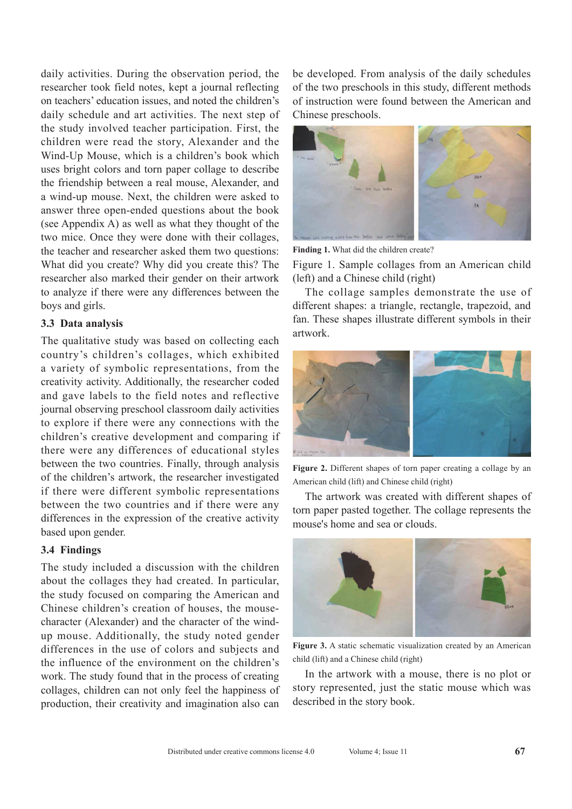daily activities. During the observation period, the researcher took field notes, kept a journal reflecting on teachers' education issues, and noted the children's daily schedule and art activities. The next step of the study involved teacher participation. First, the children were read the story, Alexander and the Wind-Up Mouse, which is a children's book which uses bright colors and torn paper collage to describe the friendship between a real mouse, Alexander, and a wind-up mouse. Next, the children were asked to answer three open-ended questions about the book (see Appendix A) as well as what they thought of the two mice. Once they were done with their collages, the teacher and researcher asked them two questions: What did you create? Why did you create this? The researcher also marked their gender on their artwork to analyze if there were any differences between the boys and girls.

#### **3.3 Data analysis**

The qualitative study was based on collecting each country's children's collages, which exhibited a variety of symbolic representations, from the creativity activity. Additionally, the researcher coded and gave labels to the field notes and reflective journal observing preschool classroom daily activities to explore if there were any connections with the children's creative development and comparing if there were any differences of educational styles between the two countries. Finally, through analysis of the children's artwork, the researcher investigated if there were different symbolic representations between the two countries and if there were any differences in the expression of the creative activity based upon gender.

#### **3.4 Findings**

The study included a discussion with the children about the collages they had created. In particular, the study focused on comparing the American and Chinese children's creation of houses, the mousecharacter (Alexander) and the character of the windup mouse. Additionally, the study noted gender differences in the use of colors and subjects and the influence of the environment on the children's work. The study found that in the process of creating collages, children can not only feel the happiness of production, their creativity and imagination also can

be developed. From analysis of the daily schedules of the two preschools in this study, different methods of instruction were found between the American and Chinese preschools.



**Finding 1.** What did the children create?

Figure 1. Sample collages from an American child (left) and a Chinese child (right)

The collage samples demonstrate the use of different shapes: a triangle, rectangle, trapezoid, and fan. These shapes illustrate different symbols in their artwork.



**Figure 2.** Different shapes of torn paper creating a collage by an American child (lift) and Chinese child (right)

The artwork was created with different shapes of torn paper pasted together. The collage represents the mouse's home and sea or clouds.



Figure 3. A static schematic visualization created by an American child (lift) and a Chinese child (right)

In the artwork with a mouse, there is no plot or story represented, just the static mouse which was described in the story book.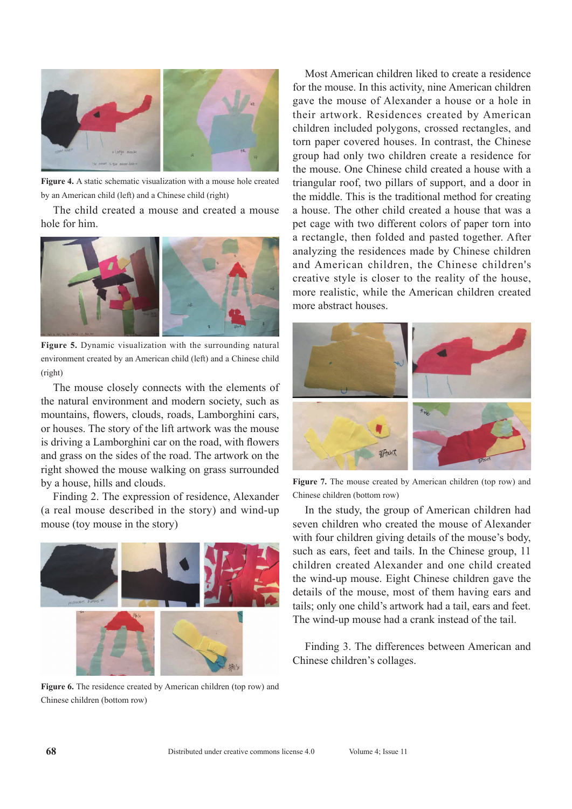

**Figure 4.** A static schematic visualization with a mouse hole created by an American child (left) and a Chinese child (right)

The child created a mouse and created a mouse hole for him.



**Figure 5.** Dynamic visualization with the surrounding natural environment created by an American child (left) and a Chinese child (right)

The mouse closely connects with the elements of the natural environment and modern society, such as mountains, flowers, clouds, roads, Lamborghini cars, or houses. The story of the lift artwork was the mouse is driving a Lamborghini car on the road, with flowers and grass on the sides of the road. The artwork on the right showed the mouse walking on grass surrounded by a house, hills and clouds.

Finding 2. The expression of residence, Alexander (a real mouse described in the story) and wind-up mouse (toy mouse in the story)



**Figure 6.** The residence created by American children (top row) and Chinese children (bottom row)

Most American children liked to create a residence for the mouse. In this activity, nine American children gave the mouse of Alexander a house or a hole in their artwork. Residences created by American children included polygons, crossed rectangles, and torn paper covered houses. In contrast, the Chinese group had only two children create a residence for the mouse. One Chinese child created a house with a triangular roof, two pillars of support, and a door in the middle. This is the traditional method for creating a house. The other child created a house that was a pet cage with two different colors of paper torn into a rectangle, then folded and pasted together. After analyzing the residences made by Chinese children and American children, the Chinese children's creative style is closer to the reality of the house, more realistic, while the American children created more abstract houses.



**Figure 7.** The mouse created by American children (top row) and Chinese children (bottom row)

In the study, the group of American children had seven children who created the mouse of Alexander with four children giving details of the mouse's body, such as ears, feet and tails. In the Chinese group, 11 children created Alexander and one child created the wind-up mouse. Eight Chinese children gave the details of the mouse, most of them having ears and tails; only one child's artwork had a tail, ears and feet. The wind-up mouse had a crank instead of the tail.

Finding 3. The differences between American and Chinese children's collages.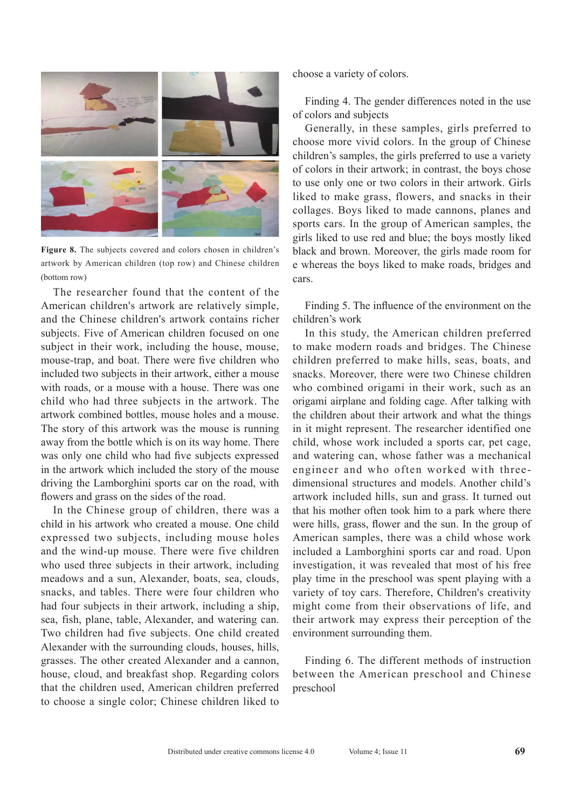

**Figure 8.** The subjects covered and colors chosen in children's artwork by American children (top row) and Chinese children (bottom row)

The researcher found that the content of the American children's artwork are relatively simple, and the Chinese children's artwork contains richer subjects. Five of American children focused on one subject in their work, including the house, mouse, mouse-trap, and boat. There were five children who included two subjects in their artwork, either a mouse with roads, or a mouse with a house. There was one child who had three subjects in the artwork. The artwork combined bottles, mouse holes and a mouse. The story of this artwork was the mouse is running away from the bottle which is on its way home. There was only one child who had five subjects expressed in the artwork which included the story of the mouse driving the Lamborghini sports car on the road, with flowers and grass on the sides of the road.

In the Chinese group of children, there was a child in his artwork who created a mouse. One child expressed two subjects, including mouse holes and the wind-up mouse. There were five children who used three subjects in their artwork, including meadows and a sun, Alexander, boats, sea, clouds, snacks, and tables. There were four children who had four subjects in their artwork, including a ship, sea, fish, plane, table, Alexander, and watering can. Two children had five subjects. One child created Alexander with the surrounding clouds, houses, hills, grasses. The other created Alexander and a cannon, house, cloud, and breakfast shop. Regarding colors that the children used, American children preferred to choose a single color; Chinese children liked to choose a variety of colors.

Finding 4. The gender differences noted in the use of colors and subjects

Generally, in these samples, girls preferred to choose more vivid colors. In the group of Chinese children's samples, the girls preferred to use a variety of colors in their artwork; in contrast, the boys chose to use only one or two colors in their artwork. Girls liked to make grass, flowers, and snacks in their collages. Boys liked to made cannons, planes and sports cars. In the group of American samples, the girls liked to use red and blue; the boys mostly liked black and brown. Moreover, the girls made room for e whereas the boys liked to make roads, bridges and cars.

Finding 5. The influence of the environment on the children's work

In this study, the American children preferred to make modern roads and bridges. The Chinese children preferred to make hills, seas, boats, and snacks. Moreover, there were two Chinese children who combined origami in their work, such as an origami airplane and folding cage. After talking with the children about their artwork and what the things in it might represent. The researcher identified one child, whose work included a sports car, pet cage, and watering can, whose father was a mechanical engineer and who often worked with threedimensional structures and models. Another child's artwork included hills, sun and grass. It turned out that his mother often took him to a park where there were hills, grass, flower and the sun. In the group of American samples, there was a child whose work included a Lamborghini sports car and road. Upon investigation, it was revealed that most of his free play time in the preschool was spent playing with a variety of toy cars. Therefore, Children's creativity might come from their observations of life, and their artwork may express their perception of the environment surrounding them.

Finding 6. The different methods of instruction between the American preschool and Chinese preschool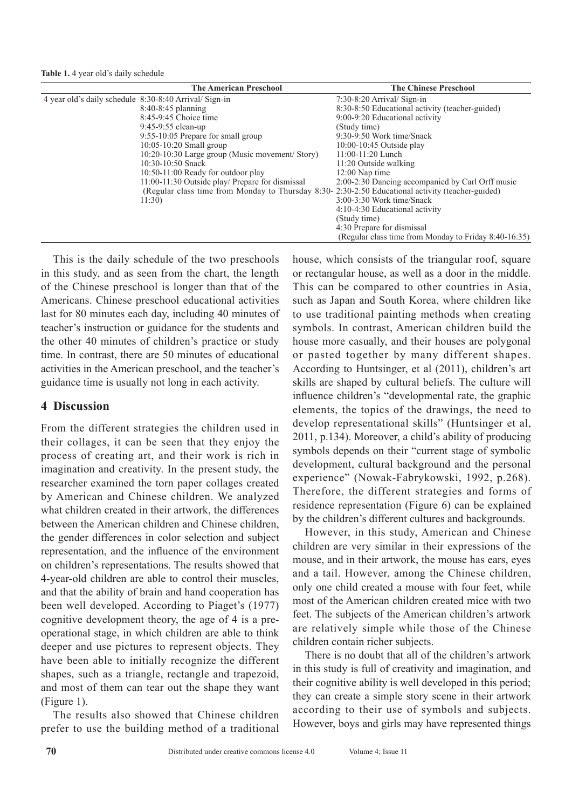**Table 1.** 4 year old's daily schedule

| <b>The American Preschool</b>                                                                    | <b>The Chinese Preschool</b>                          |
|--------------------------------------------------------------------------------------------------|-------------------------------------------------------|
| 4 year old's daily schedule 8:30-8:40 Arrival/ Sign-in                                           | $7:30-8:20$ Arrival/Sign-in                           |
| $8:40-8:45$ planning                                                                             | 8:30-8:50 Educational activity (teacher-guided)       |
| 8:45-9:45 Choice time                                                                            | 9:00-9:20 Educational activity                        |
| $9:45-9:55$ clean-up                                                                             | (Study time)                                          |
| $9:55-10:05$ Prepare for small group                                                             | 9:30-9:50 Work time/Snack                             |
| $10:05-10:20$ Small group                                                                        | 10:00-10:45 Outside play                              |
| 10:20-10:30 Large group (Music movement/ Story)                                                  | $11:00-11:20$ Lunch                                   |
| 10:30-10:50 Snack                                                                                | 11:20 Outside walking                                 |
| 10:50-11:00 Ready for outdoor play                                                               | $12:00$ Nap time                                      |
| 11:00-11:30 Outside play/ Prepare for dismissal                                                  | 2:00-2:30 Dancing accompanied by Carl Orff music      |
| (Regular class time from Monday to Thursday 8:30-2:30-2:50 Educational activity (teacher-guided) |                                                       |
| 11:30                                                                                            | $3:00-3:30$ Work time/Snack                           |
|                                                                                                  | 4:10-4:30 Educational activity                        |
|                                                                                                  | (Study time)                                          |
|                                                                                                  | 4:30 Prepare for dismissal                            |
|                                                                                                  | (Regular class time from Monday to Friday 8:40-16:35) |

This is the daily schedule of the two preschools in this study, and as seen from the chart, the length of the Chinese preschool is longer than that of the Americans. Chinese preschool educational activities last for 80 minutes each day, including 40 minutes of teacher's instruction or guidance for the students and the other 40 minutes of children's practice or study time. In contrast, there are 50 minutes of educational activities in the American preschool, and the teacher's guidance time is usually not long in each activity.

# **4 Discussion**

From the different strategies the children used in their collages, it can be seen that they enjoy the process of creating art, and their work is rich in imagination and creativity. In the present study, the researcher examined the torn paper collages created by American and Chinese children. We analyzed what children created in their artwork, the differences between the American children and Chinese children, the gender differences in color selection and subject representation, and the influence of the environment on children's representations. The results showed that 4-year-old children are able to control their muscles, and that the ability of brain and hand cooperation has been well developed. According to Piaget's (1977) cognitive development theory, the age of 4 is a preoperational stage, in which children are able to think deeper and use pictures to represent objects. They have been able to initially recognize the different shapes, such as a triangle, rectangle and trapezoid, and most of them can tear out the shape they want (Figure 1).

The results also showed that Chinese children prefer to use the building method of a traditional house, which consists of the triangular roof, square or rectangular house, as well as a door in the middle. This can be compared to other countries in Asia, such as Japan and South Korea, where children like to use traditional painting methods when creating symbols. In contrast, American children build the house more casually, and their houses are polygonal or pasted together by many different shapes. According to Huntsinger, et al (2011), children's art skills are shaped by cultural beliefs. The culture will influence children's "developmental rate, the graphic elements, the topics of the drawings, the need to develop representational skills" (Huntsinger et al, 2011, p.134). Moreover, a child's ability of producing symbols depends on their "current stage of symbolic development, cultural background and the personal experience" (Nowak-Fabrykowski, 1992, p.268). Therefore, the different strategies and forms of residence representation (Figure 6) can be explained by the children's different cultures and backgrounds.

However, in this study, American and Chinese children are very similar in their expressions of the mouse, and in their artwork, the mouse has ears, eyes and a tail. However, among the Chinese children, only one child created a mouse with four feet, while most of the American children created mice with two feet. The subjects of the American children's artwork are relatively simple while those of the Chinese children contain richer subjects.

There is no doubt that all of the children's artwork in this study is full of creativity and imagination, and their cognitive ability is well developed in this period; they can create a simple story scene in their artwork according to their use of symbols and subjects. However, boys and girls may have represented things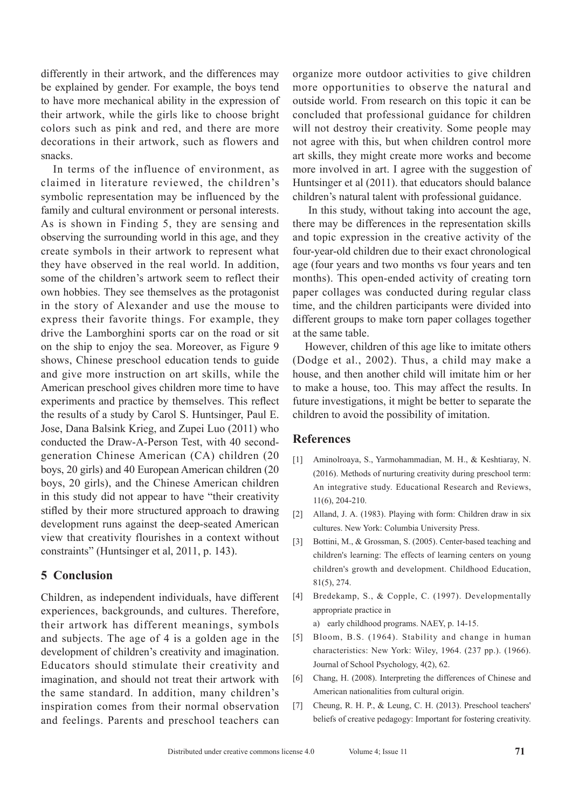differently in their artwork, and the differences may be explained by gender. For example, the boys tend to have more mechanical ability in the expression of their artwork, while the girls like to choose bright colors such as pink and red, and there are more decorations in their artwork, such as flowers and snacks.

In terms of the influence of environment, as claimed in literature reviewed, the children's symbolic representation may be influenced by the family and cultural environment or personal interests. As is shown in Finding 5, they are sensing and observing the surrounding world in this age, and they create symbols in their artwork to represent what they have observed in the real world. In addition, some of the children's artwork seem to reflect their own hobbies. They see themselves as the protagonist in the story of Alexander and use the mouse to express their favorite things. For example, they drive the Lamborghini sports car on the road or sit on the ship to enjoy the sea. Moreover, as Figure 9 shows, Chinese preschool education tends to guide and give more instruction on art skills, while the American preschool gives children more time to have experiments and practice by themselves. This reflect the results of a study by Carol S. Huntsinger, Paul E. Jose, Dana Balsink Krieg, and Zupei Luo (2011) who conducted the Draw-A-Person Test, with 40 secondgeneration Chinese American (CA) children (20 boys, 20 girls) and 40 European American children (20 boys, 20 girls), and the Chinese American children in this study did not appear to have "their creativity stifled by their more structured approach to drawing development runs against the deep-seated American view that creativity flourishes in a context without constraints" (Huntsinger et al, 2011, p. 143).

# **5 Conclusion**

Children, as independent individuals, have different experiences, backgrounds, and cultures. Therefore, their artwork has different meanings, symbols and subjects. The age of 4 is a golden age in the development of children's creativity and imagination. Educators should stimulate their creativity and imagination, and should not treat their artwork with the same standard. In addition, many children's inspiration comes from their normal observation and feelings. Parents and preschool teachers can organize more outdoor activities to give children more opportunities to observe the natural and outside world. From research on this topic it can be concluded that professional guidance for children will not destroy their creativity. Some people may not agree with this, but when children control more art skills, they might create more works and become more involved in art. I agree with the suggestion of Huntsinger et al (2011). that educators should balance children's natural talent with professional guidance.

 In this study, without taking into account the age, there may be differences in the representation skills and topic expression in the creative activity of the four-year-old children due to their exact chronological age (four years and two months vs four years and ten months). This open-ended activity of creating torn paper collages was conducted during regular class time, and the children participants were divided into different groups to make torn paper collages together at the same table.

However, children of this age like to imitate others (Dodge et al., 2002). Thus, a child may make a house, and then another child will imitate him or her to make a house, too. This may affect the results. In future investigations, it might be better to separate the children to avoid the possibility of imitation.

### **References**

- [1] Aminolroaya, S., Yarmohammadian, M. H., & Keshtiaray, N. (2016). Methods of nurturing creativity during preschool term: An integrative study. Educational Research and Reviews, 11(6), 204-210.
- [2] Alland, J. A. (1983). Playing with form: Children draw in six cultures. New York: Columbia University Press.
- [3] Bottini, M., & Grossman, S. (2005). Center-based teaching and children's learning: The effects of learning centers on young children's growth and development. Childhood Education, 81(5), 274.
- [4] Bredekamp, S., & Copple, C. (1997). Developmentally appropriate practice in

a) early childhood programs. NAEY, p. 14-15.

- [5] Bloom, B.S. (1964). Stability and change in human characteristics: New York: Wiley, 1964. (237 pp.). (1966). Journal of School Psychology, 4(2), 62.
- [6] Chang, H. (2008). Interpreting the differences of Chinese and American nationalities from cultural origin.
- [7] Cheung, R. H. P., & Leung, C. H. (2013). Preschool teachers' beliefs of creative pedagogy: Important for fostering creativity.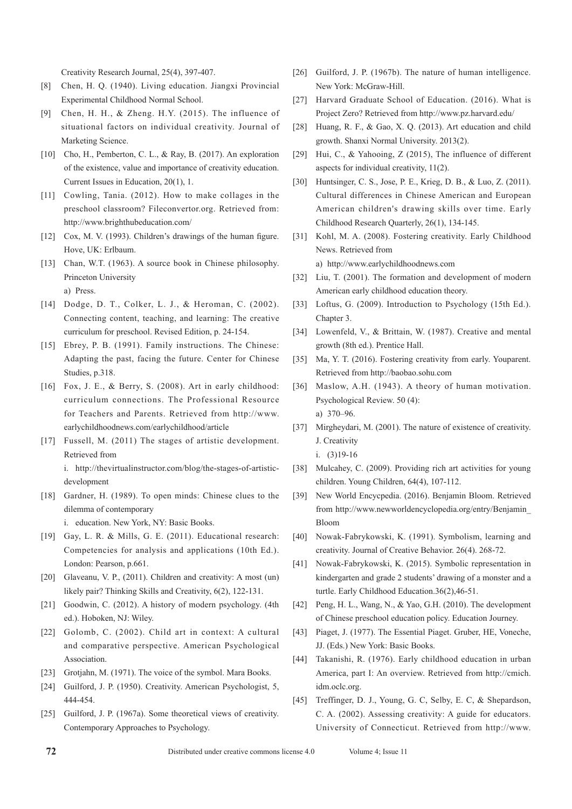Creativity Research Journal, 25(4), 397-407.

- [8] Chen, H. Q. (1940). Living education. Jiangxi Provincial Experimental Childhood Normal School.
- [9] Chen, H. H., & Zheng. H.Y. (2015). The influence of situational factors on individual creativity. Journal of Marketing Science.
- [10] Cho, H., Pemberton, C. L., & Ray, B. (2017). An exploration of the existence, value and importance of creativity education. Current Issues in Education, 20(1), 1.
- [11] Cowling, Tania. (2012). How to make collages in the preschool classroom? Fileconvertor.org. Retrieved from: http://www.brighthubeducation.com/
- [12] Cox, M. V. (1993). Children's drawings of the human figure. Hove, UK: Erlbaum.
- [13] Chan, W.T. (1963). A source book in Chinese philosophy. Princeton University a) Press.
- [14] Dodge, D. T., Colker, L. J., & Heroman, C. (2002). Connecting content, teaching, and learning: The creative curriculum for preschool. Revised Edition, p. 24-154.
- [15] Ebrey, P. B. (1991). Family instructions. The Chinese: Adapting the past, facing the future. Center for Chinese Studies, p.318.
- [16] Fox, J. E., & Berry, S. (2008). Art in early childhood: curriculum connections. The Professional Resource for Teachers and Parents. Retrieved from http://www. earlychildhoodnews.com/earlychildhood/article
- [17] Fussell, M. (2011) The stages of artistic development. Retrieved from i. http://thevirtualinstructor.com/blog/the-stages-of-artisticdevelopment
- [18] Gardner, H. (1989). To open minds: Chinese clues to the dilemma of contemporary

i. education. New York, NY: Basic Books.

- [19] Gay, L. R. & Mills, G. E. (2011). Educational research: Competencies for analysis and applications (10th Ed.). London: Pearson, p.661.
- [20] Glaveanu, V. P., (2011). Children and creativity: A most (un) likely pair? Thinking Skills and Creativity, 6(2), 122-131.
- [21] Goodwin, C. (2012). A history of modern psychology. (4th ed.). Hoboken, NJ: Wiley.
- [22] Golomb, C. (2002). Child art in context: A cultural and comparative perspective. American Psychological Association.
- [23] Grotjahn, M. (1971). The voice of the symbol. Mara Books.
- [24] Guilford, J. P. (1950). Creativity. American Psychologist, 5, 444-454.
- [25] Guilford, J. P. (1967a). Some theoretical views of creativity. Contemporary Approaches to Psychology.
- [26] Guilford, J. P. (1967b). The nature of human intelligence. New York: McGraw-Hill.
- [27] Harvard Graduate School of Education. (2016). What is Project Zero? Retrieved from http://www.pz.harvard.edu/
- [28] Huang, R. F., & Gao, X. Q. (2013). Art education and child growth. Shanxi Normal University. 2013(2).
- [29] Hui, C., & Yahooing, Z (2015), The influence of different aspects for individual creativity, 11(2).
- [30] Huntsinger, C. S., Jose, P. E., Krieg, D. B., & Luo, Z. (2011). Cultural differences in Chinese American and European American children's drawing skills over time. Early Childhood Research Quarterly, 26(1), 134-145.
- [31] Kohl, M. A. (2008). Fostering creativity. Early Childhood News. Retrieved from

a) http://www.earlychildhoodnews.com

- [32] Liu, T. (2001). The formation and development of modern American early childhood education theory.
- [33] Loftus, G. (2009). Introduction to Psychology (15th Ed.). Chapter 3.
- [34] Lowenfeld, V., & Brittain, W. (1987). Creative and mental growth (8th ed.). Prentice Hall.
- [35] Ma, Y. T. (2016). Fostering creativity from early. Youparent. Retrieved from http://baobao.sohu.com
- [36] Maslow, A.H. (1943). A theory of human motivation. Psychological Review. 50 (4): a) 370–96.
- [37] Mirgheydari, M. (2001). The nature of existence of creativity. J. Creativity

- [38] Mulcahey, C. (2009). Providing rich art activities for young children. Young Children, 64(4), 107-112.
- [39] New World Encycpedia. (2016). Benjamin Bloom. Retrieved from http://www.newworldencyclopedia.org/entry/Benjamin\_ Bloom
- [40] Nowak-Fabrykowski, K. (1991). Symbolism, learning and creativity. Journal of Creative Behavior. 26(4). 268-72.
- [41] Nowak-Fabrykowski, K. (2015). Symbolic representation in kindergarten and grade 2 students' drawing of a monster and a turtle. Early Childhood Education.36(2),46-51.
- [42] Peng, H. L., Wang, N., & Yao, G.H. (2010). The development of Chinese preschool education policy. Education Journey.
- [43] Piaget, J. (1977). The Essential Piaget. Gruber, HE, Voneche, JJ. (Eds.) New York: Basic Books.
- [44] Takanishi, R. (1976). Early childhood education in urban America, part I: An overview. Retrieved from http://cmich. idm.oclc.org.
- [45] Treffinger, D. J., Young, G. C, Selby, E. C, & Shepardson, C. A. (2002). Assessing creativity: A guide for educators. University of Connecticut. Retrieved from http://www.

i. (3)19-16